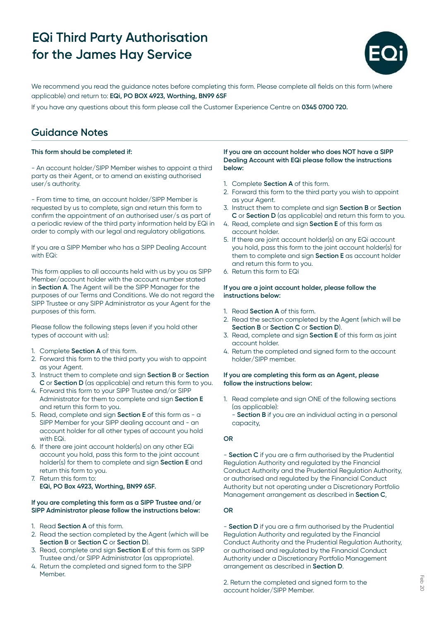

We recommend you read the guidance notes before completing this form. Please complete all fields on this form (where applicable) and return to: **EQi, PO BOX 4923, Worthing, BN99 6SF**

If you have any questions about this form please call the Customer Experience Centre on **0345 0700 720.**

## **Guidance Notes**

#### **This form should be completed if:**

- An account holder/SIPP Member wishes to appoint a third party as their Agent, or to amend an existing authorised user/s authority.

- From time to time, an account holder/SIPP Member is requested by us to complete, sign and return this form to confirm the appointment of an authorised user/s as part of a periodic review of the third party information held by EQi in order to comply with our legal and regulatory obligations.

If you are a SIPP Member who has a SIPP Dealing Account with EQi:

This form applies to all accounts held with us by you as SIPP Member/account holder with the account number stated in **Section A**. The Agent will be the SIPP Manager for the purposes of our Terms and Conditions. We do not regard the SIPP Trustee or any SIPP Administrator as your Agent for the purposes of this form.

Please follow the following steps (even if you hold other types of account with us):

- 1. Complete **Section A** of this form.
- 2. Forward this form to the third party you wish to appoint as your Agent.
- 3. Instruct them to complete and sign **Section B** or **Section C** or **Section D** (as applicable) and return this form to you.
- 4. Forward this form to your SIPP Trustee and/or SIPP Administrator for them to complete and sign **Section E** and return this form to you.
- 5. Read, complete and sign **Section E** of this form as a SIPP Member for your SIPP dealing account and - an account holder for all other types of account you hold with EQi.
- 6. If there are joint account holder(s) on any other EQi account you hold, pass this form to the joint account holder(s) for them to complete and sign **Section E** and return this form to you.
- 7. Return this form to: **EQi, PO Box 4923, Worthing, BN99 6SF.**

#### **If you are completing this form as a SIPP Trustee and/or SIPP Administrator please follow the instructions below:**

- 1. Read **Section A** of this form.
- 2. Read the section completed by the Agent (which will be **Section B** or **Section C** or **Section D**).
- 3. Read, complete and sign **Section E** of this form as SIPP Trustee and/or SIPP Administrator (as appropriate).
- 4. Return the completed and signed form to the SIPP Member.

#### **If you are an account holder who does NOT have a SIPP Dealing Account with EQi please follow the instructions below:**

- 1. Complete **Section A** of this form.
- 2. Forward this form to the third party you wish to appoint as your Agent.
- 3. Instruct them to complete and sign **Section B** or **Section C** or **Section D** (as applicable) and return this form to you.
- 4. Read, complete and sign **Section E** of this form as account holder.
- 5. If there are joint account holder(s) on any EQi account you hold, pass this form to the joint account holder(s) for them to complete and sign **Section E** as account holder and return this form to you.
- 6. Return this form to EQi

#### **If you are a joint account holder, please follow the instructions below:**

- 1. Read **Section A** of this form.
- 2. Read the section completed by the Agent (which will be **Section B** or **Section C** or **Section D**).
- 3. Read, complete and sign **Section E** of this form as joint account holder.
- 4. Return the completed and signed form to the account holder/SIPP member.

#### **If you are completing this form as an Agent, please follow the instructions below:**

1. Read complete and sign ONE of the following sections (as applicable):

- **Section B** if you are an individual acting in a personal capacity,

### **OR**

- **Section C** if you are a firm authorised by the Prudential Regulation Authority and regulated by the Financial Conduct Authority and the Prudential Regulation Authority, or authorised and regulated by the Financial Conduct Authority but not operating under a Discretionary Portfolio Management arrangement as described in **Section C**,

### **OR**

- **Section D** if you are a firm authorised by the Prudential Regulation Authority and regulated by the Financial Conduct Authority and the Prudential Regulation Authority, or authorised and regulated by the Financial Conduct Authority under a Discretionary Portfolio Management arrangement as described in **Section D**.

2. Return the completed and signed form to the account holder/SIPP Member.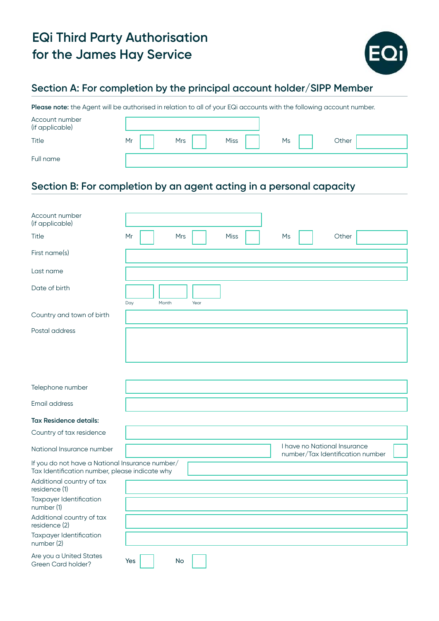

## **Section A: For completion by the principal account holder/SIPP Member**

Please note: the Agent will be authorised in relation to all of your EQi accounts with the following account number.

| Account number<br>(if applicable) |    |            |             |    |       |
|-----------------------------------|----|------------|-------------|----|-------|
| Title                             | Mr | <b>Mrs</b> | <b>Miss</b> | Ms | Other |
| Full name                         |    |            |             |    |       |

## **Section B: For completion by an agent acting in a personal capacity**

| Account number<br>(if applicable)                                                                 |                                       |                                                                  |
|---------------------------------------------------------------------------------------------------|---------------------------------------|------------------------------------------------------------------|
| Title                                                                                             | Mr<br><b>Mrs</b><br><b>Miss</b><br>Ms | Other                                                            |
| First name(s)                                                                                     |                                       |                                                                  |
| Last name                                                                                         |                                       |                                                                  |
| Date of birth                                                                                     | Day<br>Month<br>Year                  |                                                                  |
| Country and town of birth                                                                         |                                       |                                                                  |
| Postal address                                                                                    |                                       |                                                                  |
| Telephone number                                                                                  |                                       |                                                                  |
| Email address                                                                                     |                                       |                                                                  |
| <b>Tax Residence details:</b>                                                                     |                                       |                                                                  |
| Country of tax residence                                                                          |                                       |                                                                  |
| National Insurance number                                                                         |                                       | I have no National Insurance<br>number/Tax Identification number |
| If you do not have a National Insurance number/<br>Tax Identification number, please indicate why |                                       |                                                                  |
| Additional country of tax<br>residence (1)                                                        |                                       |                                                                  |
| Taxpayer Identification<br>number (1)                                                             |                                       |                                                                  |
| Additional country of tax<br>residence (2)                                                        |                                       |                                                                  |
| Taxpayer Identification<br>number (2)                                                             |                                       |                                                                  |
| Are you a United States<br>Green Card holder?                                                     | Yes<br>No                             |                                                                  |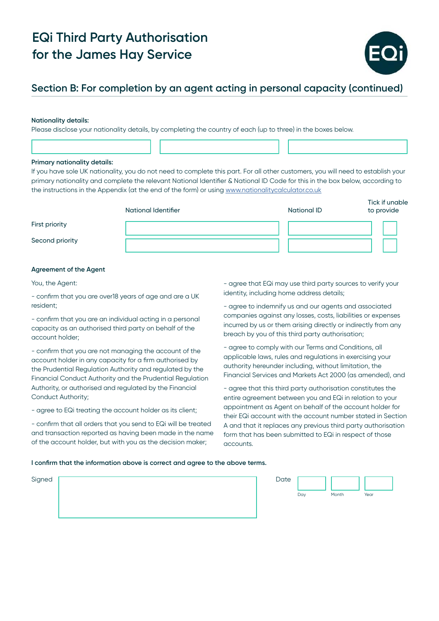

## **Section B: For completion by an agent acting in personal capacity (continued)**

#### **Nationality details:**

Please disclose your nationality details, by completing the country of each (up to three) in the boxes below.

#### **Primary nationality details:**

If you have sole UK nationality, you do not need to complete this part. For all other customers, you will need to establish your primary nationality and complete the relevant National Identifier & National ID Code for this in the box below, according to the instructions in the Appendix (at the end of the form) or using [www.nationalitycalculator.co.uk](http://www.nationalitycalculator.co.uk)

|                 | National Identifier | <b>National ID</b> | Tick if unable<br>to provide |
|-----------------|---------------------|--------------------|------------------------------|
| First priority  |                     |                    |                              |
| Second priority |                     |                    |                              |

#### **Agreement of the Agent**

You, the Agent:

- confirm that you are over18 years of age and are a UK resident;

- confirm that you are an individual acting in a personal capacity as an authorised third party on behalf of the account holder;

- confirm that you are not managing the account of the account holder in any capacity for a firm authorised by the Prudential Regulation Authority and regulated by the Financial Conduct Authority and the Prudential Regulation Authority, or authorised and regulated by the Financial Conduct Authority;

- agree to EQi treating the account holder as its client;

- confirm that all orders that you send to EQi will be treated and transaction reported as having been made in the name of the account holder, but with you as the decision maker;

- agree that EQi may use third party sources to verify your identity, including home address details;

- agree to indemnify us and our agents and associated companies against any losses, costs, liabilities or expenses incurred by us or them arising directly or indirectly from any breach by you of this third party authorisation;

- agree to comply with our Terms and Conditions, all applicable laws, rules and regulations in exercising your authority hereunder including, without limitation, the Financial Services and Markets Act 2000 (as amended), and

- agree that this third party authorisation constitutes the entire agreement between you and EQi in relation to your appointment as Agent on behalf of the account holder for their EQi account with the account number stated in Section A and that it replaces any previous third party authorisation form that has been submitted to EQi in respect of those accounts.

#### **I confirm that the information above is correct and agree to the above terms.**

| Signed | Date |     |       |      |
|--------|------|-----|-------|------|
|        |      |     |       |      |
|        |      | Day | Month | Year |
|        |      |     |       |      |
|        |      |     |       |      |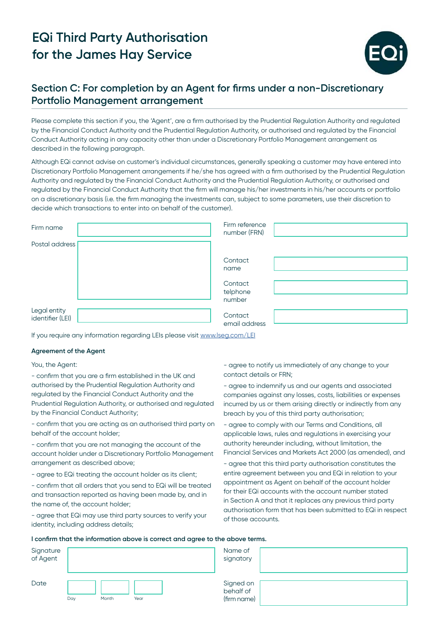

## **Section C: For completion by an Agent for firms under a non-Discretionary Portfolio Management arrangement**

Please complete this section if you, the 'Agent', are a firm authorised by the Prudential Regulation Authority and regulated by the Financial Conduct Authority and the Prudential Regulation Authority, or authorised and regulated by the Financial Conduct Authority acting in any capacity other than under a Discretionary Portfolio Management arrangement as described in the following paragraph.

Although EQi cannot advise on customer's individual circumstances, generally speaking a customer may have entered into Discretionary Portfolio Management arrangements if he/she has agreed with a firm authorised by the Prudential Regulation Authority and regulated by the Financial Conduct Authority and the Prudential Regulation Authority, or authorised and regulated by the Financial Conduct Authority that the firm will manage his/her investments in his/her accounts or portfolio on a discretionary basis (i.e. the firm managing the investments can, subject to some parameters, use their discretion to decide which transactions to enter into on behalf of the customer).

| Firm name                        | Firm reference<br>number (FRN) |  |
|----------------------------------|--------------------------------|--|
| Postal address                   |                                |  |
|                                  | Contact<br>name                |  |
|                                  | Contact<br>telphone<br>number  |  |
| Legal entity<br>identifier (LEI) | Contact<br>email address       |  |

If you require any information regarding LEIs please visit [www.lseg.com/LEI](http://www.lseg.com/LEI)

#### **Agreement of the Agent**

You, the Agent:

- confirm that you are a firm established in the UK and authorised by the Prudential Regulation Authority and regulated by the Financial Conduct Authority and the Prudential Regulation Authority, or authorised and regulated by the Financial Conduct Authority;

- confirm that you are acting as an authorised third party on behalf of the account holder;

- confirm that you are not managing the account of the account holder under a Discretionary Portfolio Management arrangement as described above;

- agree to EQi treating the account holder as its client;

- confirm that all orders that you send to EQi will be treated and transaction reported as having been made by, and in the name of, the account holder;

- agree that EQi may use third party sources to verify your identity, including address details;

- agree to notify us immediately of any change to your contact details or FRN;

- agree to indemnify us and our agents and associated companies against any losses, costs, liabilities or expenses incurred by us or them arising directly or indirectly from any breach by you of this third party authorisation;

- agree to comply with our Terms and Conditions, all applicable laws, rules and regulations in exercising your authority hereunder including, without limitation, the Financial Services and Markets Act 2000 (as amended), and

- agree that this third party authorisation constitutes the entire agreement between you and EQi in relation to your appointment as Agent on behalf of the account holder for their EQi accounts with the account number stated in Section A and that it replaces any previous third party authorisation form that has been submitted to EQi in respect of those accounts.

| I confirm that the information above is correct and agree to the above terms. |  |  |
|-------------------------------------------------------------------------------|--|--|
|-------------------------------------------------------------------------------|--|--|

|                       | I communicated the implification doove is correct and agree to the doove terms. |                                       |
|-----------------------|---------------------------------------------------------------------------------|---------------------------------------|
| Signature<br>of Agent |                                                                                 | Name of<br>signatory                  |
| Date                  | Month<br>Day<br>Year                                                            | Signed on<br>behalf of<br>(firm name) |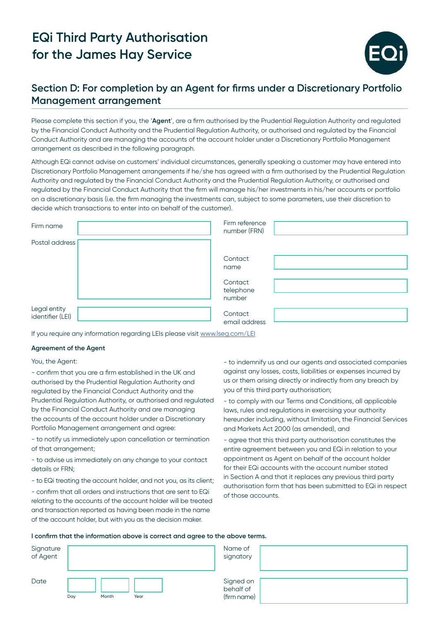

## **Section D: For completion by an Agent for firms under a Discretionary Portfolio Management arrangement**

Please complete this section if you, the '**Agent**', are a firm authorised by the Prudential Regulation Authority and regulated by the Financial Conduct Authority and the Prudential Regulation Authority, or authorised and regulated by the Financial Conduct Authority and are managing the accounts of the account holder under a Discretionary Portfolio Management arrangement as described in the following paragraph.

Although EQi cannot advise on customers' individual circumstances, generally speaking a customer may have entered into Discretionary Portfolio Management arrangements if he/she has agreed with a firm authorised by the Prudential Regulation Authority and regulated by the Financial Conduct Authority and the Prudential Regulation Authority, or authorised and regulated by the Financial Conduct Authority that the firm will manage his/her investments in his/her accounts or portfolio on a discretionary basis (i.e. the firm managing the investments can, subject to some parameters, use their discretion to decide which transactions to enter into on behalf of the customer).

| Firm name                        | Firm reference<br>number (FRN) |  |
|----------------------------------|--------------------------------|--|
| Postal address                   |                                |  |
|                                  | Contact<br>name                |  |
|                                  | Contact<br>telephone<br>number |  |
| Legal entity<br>identifier (LEI) | Contact<br>email address       |  |

If you require any information regarding LEIs please visit [www.lseg.com/LEI](http://www.lseg.com/LEI)

#### **Agreement of the Agent**

#### You, the Agent:

- confirm that you are a firm established in the UK and authorised by the Prudential Regulation Authority and regulated by the Financial Conduct Authority and the Prudential Regulation Authority, or authorised and regulated by the Financial Conduct Authority and are managing the accounts of the account holder under a Discretionary Portfolio Management arrangement and agree:

- to notify us immediately upon cancellation or termination of that arrangement;

- to advise us immediately on any change to your contact details or FRN;

- to EQi treating the account holder, and not you, as its client; - confirm that all orders and instructions that are sent to EQi relating to the accounts of the account holder will be treated and transaction reported as having been made in the name of the account holder, but with you as the decision maker.

- to indemnify us and our agents and associated companies against any losses, costs, liabilities or expenses incurred by us or them arising directly or indirectly from any breach by you of this third party authorisation;

- to comply with our Terms and Conditions, all applicable laws, rules and regulations in exercising your authority hereunder including, without limitation, the Financial Services and Markets Act 2000 (as amended), and

- agree that this third party authorisation constitutes the entire agreement between you and EQi in relation to your appointment as Agent on behalf of the account holder for their EQi accounts with the account number stated in Section A and that it replaces any previous third party authorisation form that has been submitted to EQi in respect of those accounts.

#### **I confirm that the information above is correct and agree to the above terms.**

| Signature<br>of Agent |                      | Name of<br>signatory                  |
|-----------------------|----------------------|---------------------------------------|
| Date                  | Day<br>Month<br>Year | Signed on<br>behalf of<br>(firm name) |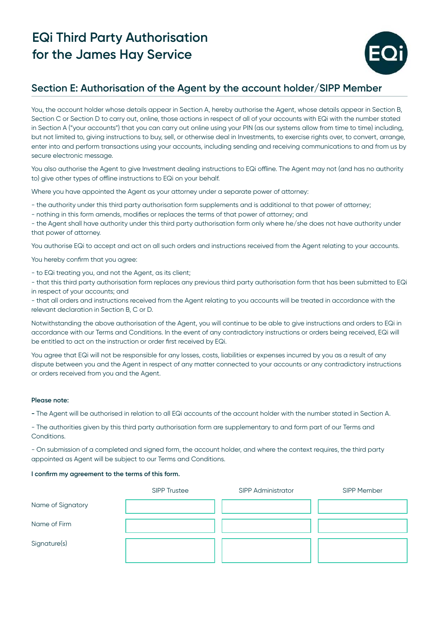

## **Section E: Authorisation of the Agent by the account holder/SIPP Member**

You, the account holder whose details appear in Section A, hereby authorise the Agent, whose details appear in Section B, Section C or Section D to carry out, online, those actions in respect of all of your accounts with EQi with the number stated in Section A ("your accounts") that you can carry out online using your PIN (as our systems allow from time to time) including, but not limited to, giving instructions to buy, sell, or otherwise deal in Investments, to exercise rights over, to convert, arrange, enter into and perform transactions using your accounts, including sending and receiving communications to and from us by secure electronic message.

You also authorise the Agent to give Investment dealing instructions to EQi offline. The Agent may not (and has no authority to) give other types of offline instructions to EQi on your behalf.

Where you have appointed the Agent as your attorney under a separate power of attorney:

- the authority under this third party authorisation form supplements and is additional to that power of attorney;

- nothing in this form amends, modifies or replaces the terms of that power of attorney; and

- the Agent shall have authority under this third party authorisation form only where he/she does not have authority under that power of attorney.

You authorise EQi to accept and act on all such orders and instructions received from the Agent relating to your accounts.

You hereby confirm that you agree:

- to EQi treating you, and not the Agent, as its client;

- that this third party authorisation form replaces any previous third party authorisation form that has been submitted to EQi in respect of your accounts; and

- that all orders and instructions received from the Agent relating to you accounts will be treated in accordance with the relevant declaration in Section B, C or D.

Notwithstanding the above authorisation of the Agent, you will continue to be able to give instructions and orders to EQi in accordance with our Terms and Conditions. In the event of any contradictory instructions or orders being received, EQi will be entitled to act on the instruction or order first received by EQi.

You agree that EQi will not be responsible for any losses, costs, liabilities or expenses incurred by you as a result of any dispute between you and the Agent in respect of any matter connected to your accounts or any contradictory instructions or orders received from you and the Agent.

### **Please note:**

**-** The Agent will be authorised in relation to all EQi accounts of the account holder with the number stated in Section A.

- The authorities given by this third party authorisation form are supplementary to and form part of our Terms and Conditions.

- On submission of a completed and signed form, the account holder, and where the context requires, the third party appointed as Agent will be subject to our Terms and Conditions.

### **I confirm my agreement to the terms of this form.**

|                   | <b>SIPP Trustee</b> | <b>SIPP Administrator</b> | SIPP Member |
|-------------------|---------------------|---------------------------|-------------|
| Name of Signatory |                     |                           |             |
| Name of Firm      |                     |                           |             |
| Signature(s)      |                     |                           |             |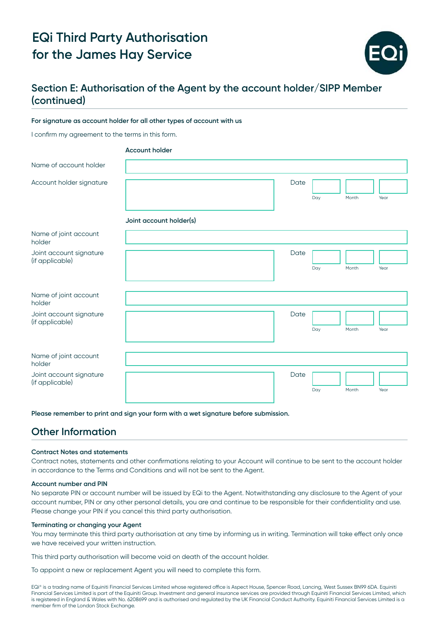

## **Section E: Authorisation of the Agent by the account holder/SIPP Member (continued)**

#### **For signature as account holder for all other types of account with us**

I confirm my agreement to the terms in this form.

|                                            | <b>Account holder</b>   |      |     |       |      |
|--------------------------------------------|-------------------------|------|-----|-------|------|
| Name of account holder                     |                         |      |     |       |      |
| Account holder signature                   |                         | Date | Day | Month | Year |
|                                            | Joint account holder(s) |      |     |       |      |
| Name of joint account<br>holder            |                         |      |     |       |      |
| Joint account signature<br>(if applicable) |                         | Date | Day | Month | Year |
| Name of joint account<br>holder            |                         |      |     |       |      |
| Joint account signature<br>(if applicable) |                         | Date | Day | Month | Year |
| Name of joint account<br>holder            |                         |      |     |       |      |
| Joint account signature<br>(if applicable) |                         | Date |     |       |      |
|                                            |                         |      | Day | Month | Year |

**Please remember to print and sign your form with a wet signature before submission.**

## **Other Information**

#### **Contract Notes and statements**

Contract notes, statements and other confirmations relating to your Account will continue to be sent to the account holder in accordance to the Terms and Conditions and will not be sent to the Agent.

#### **Account number and PIN**

No separate PIN or account number will be issued by EQi to the Agent. Notwithstanding any disclosure to the Agent of your account number, PIN or any other personal details, you are and continue to be responsible for their confidentiality and use. Please change your PIN if you cancel this third party authorisation.

#### **Terminating or changing your Agent**

You may terminate this third party authorisation at any time by informing us in writing. Termination will take effect only once we have received your written instruction.

This third party authorisation will become void on death of the account holder.

To appoint a new or replacement Agent you will need to complete this form.

EQi® is a trading name of Equiniti Financial Services Limited whose registered office is Aspect House, Spencer Road, Lancing, West Sussex BN99 6DA. Equiniti Financial Services Limited is part of the Equiniti Group. Investment and general insurance services are provided through Equiniti Financial Services Limited, which is registered in England & Wales with No. 6208699 and is authorised and regulated by the UK Financial Conduct Authority. Equiniti Financial Services Limited is a member firm of the London Stock Exchange.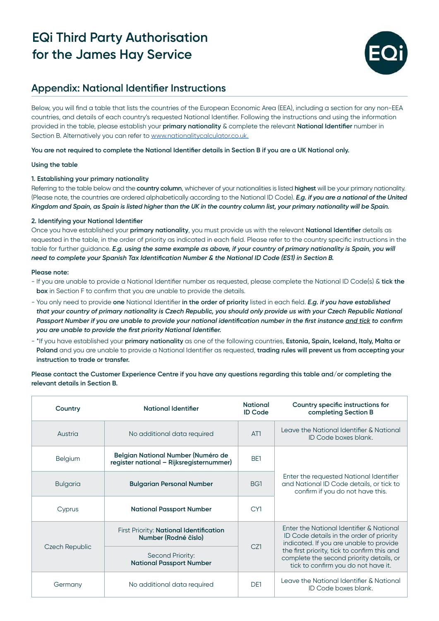

## **Appendix: National Identifier Instructions**

Below, you will find a table that lists the countries of the European Economic Area (EEA), including a section for any non-EEA countries, and details of each country's requested National Identifier. Following the instructions and using the information provided in the table, please establish your **primary nationality** & complete the relevant **National Identifier** number in Section B. Alternatively you can refer to [www.nationalitycalculator.co.uk.](http://www.nationalitycalculator.co.uk.)

### **You are not required to complete the National Identifier details in Section B if you are a UK National only.**

### **Using the table**

### **1. Establishing your primary nationality**

Referring to the table below and the **country column**, whichever of your nationalities is listed **highest** will be your primary nationality. (Please note, the countries are ordered alphabetically according to the National ID Code). *E.g. if you are a national of the United Kingdom and Spain, as Spain is listed higher than the UK in the country column list, your primary nationality will be Spain.*

### **2. Identifying your National Identifier**

Once you have established your **primary nationality**, you must provide us with the relevant **National Identifier** details as requested in the table, in the order of priority as indicated in each field. Please refer to the country specific instructions in the table for further guidance. *E.g. using the same example as above, if your country of primary nationality is Spain, you will need to complete your Spanish Tax Identification Number & the National ID Code (ES1) in Section B.*

#### **Please note:**

- If you are unable to provide a National Identifier number as requested, please complete the National ID Code(s) & **tick the box** in Section F to confirm that you are unable to provide the details.
- You only need to provide **one** National Identifier **in the order of priority** listed in each field. *E.g. if you have established that your country of primary nationality is Czech Republic, you should only provide us with your Czech Republic National Passport Number if you are unable to provide your national identification number in the first instance and tick to confirm you are unable to provide the first priority National Identifier.*
- \*If you have established your **primary nationality** as one of the following countries, **Estonia, Spain, Iceland, Italy, Malta or Poland** and you are unable to provide a National Identifier as requested, **trading rules will prevent us from accepting your instruction to trade or transfer.**

### **Please contact the Customer Experience Centre if you have any questions regarding this table and/or completing the relevant details in Section B.**

| Country         | National Identifier                                                            | <b>National</b><br><b>ID Code</b> | Country specific instructions for<br>completing Section B                                                                       |
|-----------------|--------------------------------------------------------------------------------|-----------------------------------|---------------------------------------------------------------------------------------------------------------------------------|
| Austria         | No additional data required                                                    | AT <sub>1</sub>                   | Leave the National Identifier & National<br>ID Code boxes blank.                                                                |
| <b>Belgium</b>  | Belgian National Number (Numéro de<br>register national - Rijksregisternummer) | BE1                               |                                                                                                                                 |
| <b>Bulgaria</b> | <b>Bulgarian Personal Number</b>                                               |                                   | Enter the requested National Identifier<br>and National ID Code details, or tick to<br>confirm if you do not have this.         |
| Cyprus          | <b>National Passport Number</b>                                                | CY1                               |                                                                                                                                 |
|                 | First Priority: National Identification<br>Number (Rodné číslo)                |                                   | Enter the National Identifier & National<br>ID Code details in the order of priority<br>indicated. If you are unable to provide |
| Czech Republic  | Second Priority:<br><b>National Passport Number</b>                            | CZ1                               | the first priority, tick to confirm this and<br>complete the second priority details, or<br>tick to confirm you do not have it. |
| Germany         | No additional data required                                                    | D <sub>F1</sub>                   | Leave the National Identifier & National<br>ID Code boxes blank.                                                                |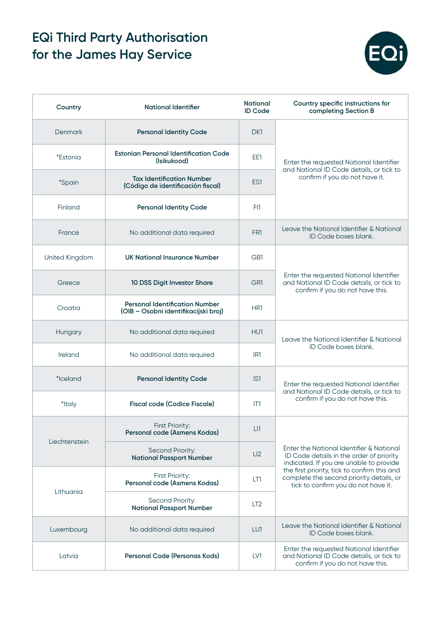

| Country        | <b>National Identifier</b>                                                    | <b>National</b><br><b>ID Code</b> | Country specific instructions for<br>completing Section B                                                                                                                                                                                                          |
|----------------|-------------------------------------------------------------------------------|-----------------------------------|--------------------------------------------------------------------------------------------------------------------------------------------------------------------------------------------------------------------------------------------------------------------|
| <b>Denmark</b> | <b>Personal Identity Code</b>                                                 | DK1                               | Enter the requested National Identifier<br>and National ID Code details, or tick to<br>confirm if you do not have it.                                                                                                                                              |
| *Estonia       | <b>Estonian Personal Identification Code</b><br>(Isikukood)                   | EE1                               |                                                                                                                                                                                                                                                                    |
| <i>*Spain</i>  | <b>Tax Identification Number</b><br>(Código de identificación fiscal)         | ES1                               |                                                                                                                                                                                                                                                                    |
| Finland        | <b>Personal Identity Code</b>                                                 | F11                               |                                                                                                                                                                                                                                                                    |
| France         | No additional data required                                                   | FR <sub>1</sub>                   | Leave the National Identifier & National<br>ID Code boxes blank.                                                                                                                                                                                                   |
| United Kingdom | <b>UK National Insurance Number</b>                                           | GB1                               | Enter the requested National Identifier<br>and National ID Code details, or tick to<br>confirm if you do not have this.                                                                                                                                            |
| Greece         | 10 DSS Digit Investor Share                                                   | GR1                               |                                                                                                                                                                                                                                                                    |
| Croatia        | <b>Personal Identification Number</b><br>(OIB - Osobni identifikacijski broj) | HR1                               |                                                                                                                                                                                                                                                                    |
| Hungary        | No additional data required                                                   | HU1                               | Leave the National Identifier & National<br>ID Code boxes blank.                                                                                                                                                                                                   |
| Ireland        | No additional data required                                                   | IR <sub>1</sub>                   |                                                                                                                                                                                                                                                                    |
| *Iceland       | <b>Personal Identity Code</b>                                                 | IS <sub>1</sub>                   | Enter the requested National Identifier<br>and National ID Code details, or tick to<br>confirm if you do not have this.                                                                                                                                            |
| *Italy         | <b>Fiscal code (Codice Fiscale)</b>                                           | IT1                               |                                                                                                                                                                                                                                                                    |
| Liechtenstein  | <b>First Priority:</b><br>Personal code (Asmens Kodas)                        | LI                                | Enter the National Identifier & National<br>ID Code details in the order of priority<br>indicated. If you are unable to provide<br>the first priority, tick to confirm this and<br>complete the second priority details, or<br>tick to confirm you do not have it. |
|                | Second Priority:<br><b>National Passport Number</b>                           | LI2                               |                                                                                                                                                                                                                                                                    |
| Lithuania      | First Priority:<br>Personal code (Asmens Kodas)                               | LT1                               |                                                                                                                                                                                                                                                                    |
|                | Second Priority:<br><b>National Passport Number</b>                           | LT <sub>2</sub>                   |                                                                                                                                                                                                                                                                    |
| Luxembourg     | No additional data required                                                   | LU1                               | Leave the National Identifier & National<br>ID Code boxes blank.                                                                                                                                                                                                   |
| Latvia         | Personal Code (Personas Kods)                                                 | LV1                               | Enter the requested National Identifier<br>and National ID Code details, or tick to<br>confirm if you do not have this.                                                                                                                                            |